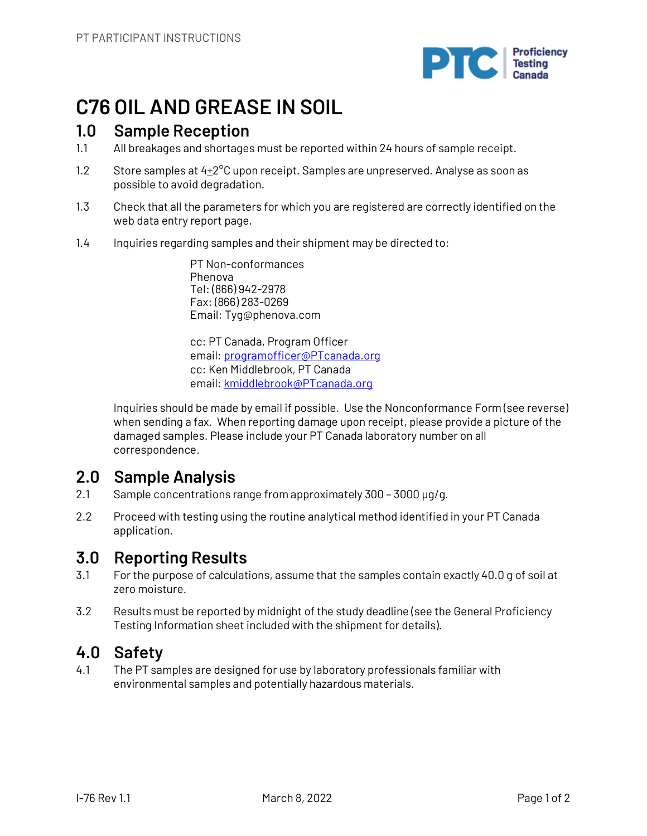

# **C76 OIL AND GREASE IN SOIL**

# **1.0 Sample Reception**

- 1.1 All breakages and shortages must be reported within 24 hours of sample receipt.
- 1.2 Store samples at  $4+2^{\circ}$ C upon receipt. Samples are unpreserved. Analyse as soon as possible to avoid degradation.
- 1.3 Check that all the parameters for which you are registered are correctly identified on the web data entry report page.
- 1.4 Inquiries regarding samples and their shipment may be directed to:

PT Non-conformances Phenova Tel: (866) 942-2978 Fax: (866) 283-0269 Email: Tyg@phenova.com

cc: PT Canada, Program Officer email: programofficer@PTcanada.org cc: Ken Middlebrook, PT Canada email: kmiddlebrook@PTcanada.org

Inquiries should be made by email if possible. Use the Nonconformance Form (see reverse) when sending a fax. When reporting damage upon receipt, please provide a picture of the damaged samples. Please include your PT Canada laboratory number on all correspondence.

# **2.0 Sample Analysis**

- 2.1 Sample concentrations range from approximately 300 3000 µg/g.
- 2.2 Proceed with testing using the routine analytical method identified in your PT Canada application.

# **3.0 Reporting Results**

- 3.1 For the purpose of calculations, assume that the samples contain exactly 40.0 g of soil at zero moisture.
- 3.2 Results must be reported by midnight of the study deadline (see the General Proficiency Testing Information sheet included with the shipment for details).

# **4.0 Safety**

4.1 The PT samples are designed for use by laboratory professionals familiar with environmental samples and potentially hazardous materials.